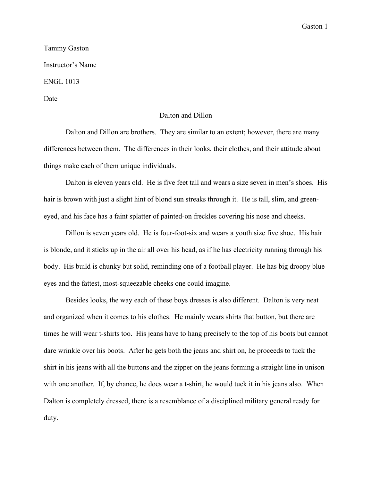Gaston 1

Tammy Gaston Instructor's Name ENGL 1013 Date

## Dalton and Dillon

Dalton and Dillon are brothers. They are similar to an extent; however, there are many differences between them. The differences in their looks, their clothes, and their attitude about things make each of them unique individuals.

Dalton is eleven years old. He is five feet tall and wears a size seven in men's shoes. His hair is brown with just a slight hint of blond sun streaks through it. He is tall, slim, and greeneyed, and his face has a faint splatter of painted-on freckles covering his nose and cheeks.

Dillon is seven years old. He is four-foot-six and wears a youth size five shoe. His hair is blonde, and it sticks up in the air all over his head, as if he has electricity running through his body. His build is chunky but solid, reminding one of a football player. He has big droopy blue eyes and the fattest, most-squeezable cheeks one could imagine.

Besides looks, the way each of these boys dresses is also different. Dalton is very neat and organized when it comes to his clothes. He mainly wears shirts that button, but there are times he will wear t-shirts too. His jeans have to hang precisely to the top of his boots but cannot dare wrinkle over his boots. After he gets both the jeans and shirt on, he proceeds to tuck the shirt in his jeans with all the buttons and the zipper on the jeans forming a straight line in unison with one another. If, by chance, he does wear a t-shirt, he would tuck it in his jeans also. When Dalton is completely dressed, there is a resemblance of a disciplined military general ready for duty.